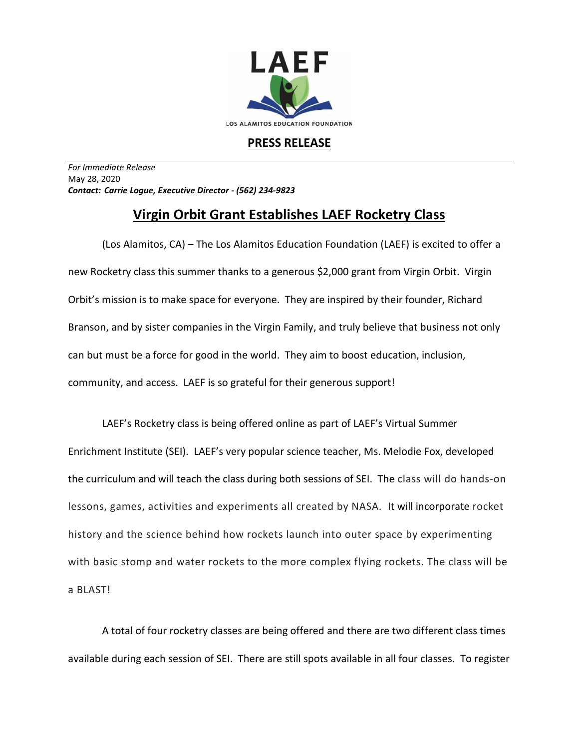

## **PRESS RELEASE**

*For Immediate Release*  May 28, 2020 *Contact: Carrie Logue, Executive Director - (562) 234-9823*

## **Virgin Orbit Grant Establishes LAEF Rocketry Class**

(Los Alamitos, CA) – The Los Alamitos Education Foundation (LAEF) is excited to offer a new Rocketry class this summer thanks to a generous \$2,000 grant from Virgin Orbit. Virgin Orbit's mission is to make space for everyone. They are inspired by their founder, Richard Branson, and by sister companies in the Virgin Family, and truly believe that business not only can but must be a force for good in the world. They aim to boost education, inclusion, community, and access. LAEF is so grateful for their generous support!

LAEF's Rocketry class is being offered online as part of LAEF's Virtual Summer Enrichment Institute (SEI). LAEF's very popular science teacher, Ms. Melodie Fox, developed the curriculum and will teach the class during both sessions of SEI. The class will do hands-on lessons, games, activities and experiments all created by NASA. It will incorporate rocket history and the science behind how rockets launch into outer space by experimenting with basic stomp and water rockets to the more complex flying rockets. The class will be a BLAST!

A total of four rocketry classes are being offered and there are two different class times available during each session of SEI. There are still spots available in all four classes. To register